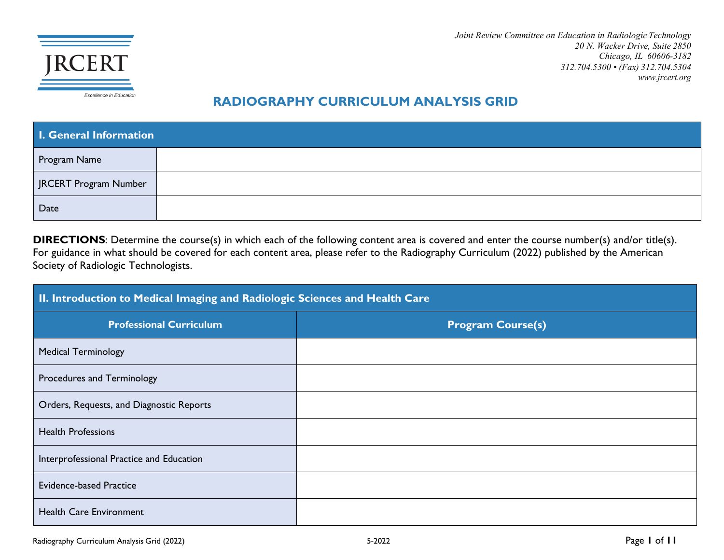

*Joint Review Committee on Education in Radiologic Technology 20 N. Wacker Drive, Suite 2850 Chicago, IL 60606-3182 312.704.5300 • (Fax) 312.704.5304 [www.jrcert.org](http://www.jrcert.org/)*

#### **RADIOGRAPHY CURRICULUM ANALYSIS GRID**

| <b>I. General Information</b> |  |  |
|-------------------------------|--|--|
| Program Name                  |  |  |
| JRCERT Program Number         |  |  |
| Date                          |  |  |

**DIRECTIONS**: Determine the course(s) in which each of the following content area is covered and enter the course number(s) and/or title(s). For guidance in what should be covered for each content area, please refer to the Radiography Curriculum (2022) published by the American Society of Radiologic Technologists.

| II. Introduction to Medical Imaging and Radiologic Sciences and Health Care |                          |
|-----------------------------------------------------------------------------|--------------------------|
| <b>Professional Curriculum</b>                                              | <b>Program Course(s)</b> |
| <b>Medical Terminology</b>                                                  |                          |
| Procedures and Terminology                                                  |                          |
| Orders, Requests, and Diagnostic Reports                                    |                          |
| <b>Health Professions</b>                                                   |                          |
| Interprofessional Practice and Education                                    |                          |
| <b>Evidence-based Practice</b>                                              |                          |
| <b>Health Care Environment</b>                                              |                          |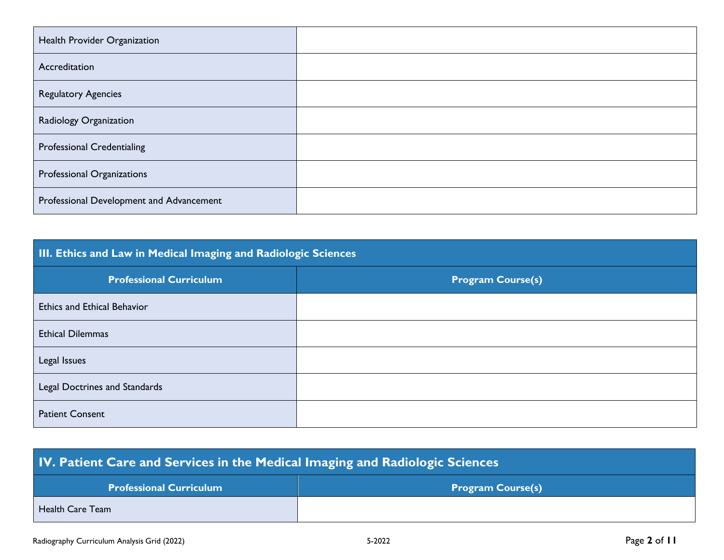| Health Provider Organization             |  |
|------------------------------------------|--|
| Accreditation                            |  |
| <b>Regulatory Agencies</b>               |  |
| Radiology Organization                   |  |
| <b>Professional Credentialing</b>        |  |
| Professional Organizations               |  |
| Professional Development and Advancement |  |

| III. Ethics and Law in Medical Imaging and Radiologic Sciences |                          |
|----------------------------------------------------------------|--------------------------|
| <b>Professional Curriculum</b>                                 | <b>Program Course(s)</b> |
| <b>Ethics and Ethical Behavior</b>                             |                          |
| <b>Ethical Dilemmas</b>                                        |                          |
| Legal Issues                                                   |                          |
| Legal Doctrines and Standards                                  |                          |
| <b>Patient Consent</b>                                         |                          |

| IV. Patient Care and Services in the Medical Imaging and Radiologic Sciences |                          |  |
|------------------------------------------------------------------------------|--------------------------|--|
| <b>Professional Curriculum</b>                                               | <b>Program Course(s)</b> |  |
| Health Care Team                                                             |                          |  |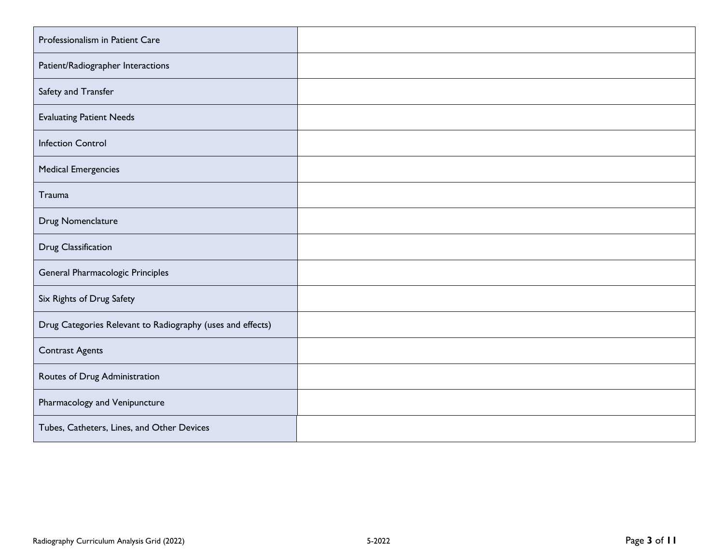| Professionalism in Patient Care                            |  |
|------------------------------------------------------------|--|
| Patient/Radiographer Interactions                          |  |
| Safety and Transfer                                        |  |
| <b>Evaluating Patient Needs</b>                            |  |
| <b>Infection Control</b>                                   |  |
| <b>Medical Emergencies</b>                                 |  |
| Trauma                                                     |  |
| Drug Nomenclature                                          |  |
| Drug Classification                                        |  |
| General Pharmacologic Principles                           |  |
| Six Rights of Drug Safety                                  |  |
| Drug Categories Relevant to Radiography (uses and effects) |  |
| <b>Contrast Agents</b>                                     |  |
| Routes of Drug Administration                              |  |
| Pharmacology and Venipuncture                              |  |
| Tubes, Catheters, Lines, and Other Devices                 |  |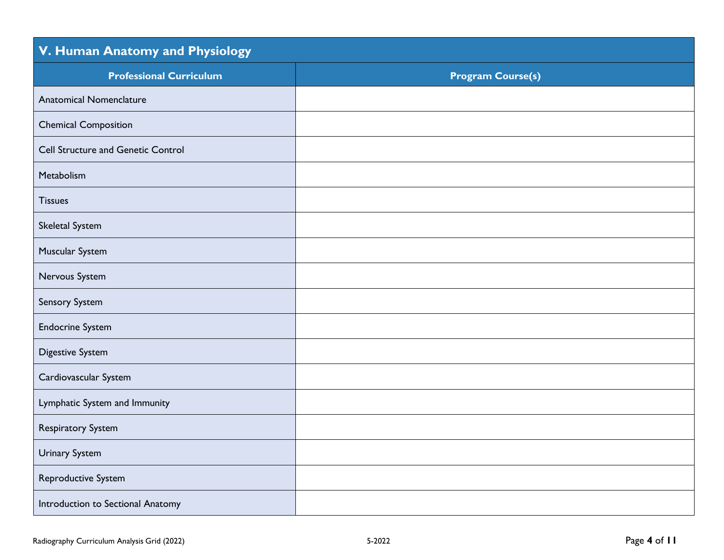## **V. Human Anatomy and Physiology**

| <b>Professional Curriculum</b>            | <b>Program Course(s)</b> |  |
|-------------------------------------------|--------------------------|--|
| <b>Anatomical Nomenclature</b>            |                          |  |
| <b>Chemical Composition</b>               |                          |  |
| <b>Cell Structure and Genetic Control</b> |                          |  |
| Metabolism                                |                          |  |
| <b>Tissues</b>                            |                          |  |
| Skeletal System                           |                          |  |
| Muscular System                           |                          |  |
| Nervous System                            |                          |  |
| Sensory System                            |                          |  |
| <b>Endocrine System</b>                   |                          |  |
| <b>Digestive System</b>                   |                          |  |
| Cardiovascular System                     |                          |  |
| Lymphatic System and Immunity             |                          |  |
| Respiratory System                        |                          |  |
| <b>Urinary System</b>                     |                          |  |
| Reproductive System                       |                          |  |
| Introduction to Sectional Anatomy         |                          |  |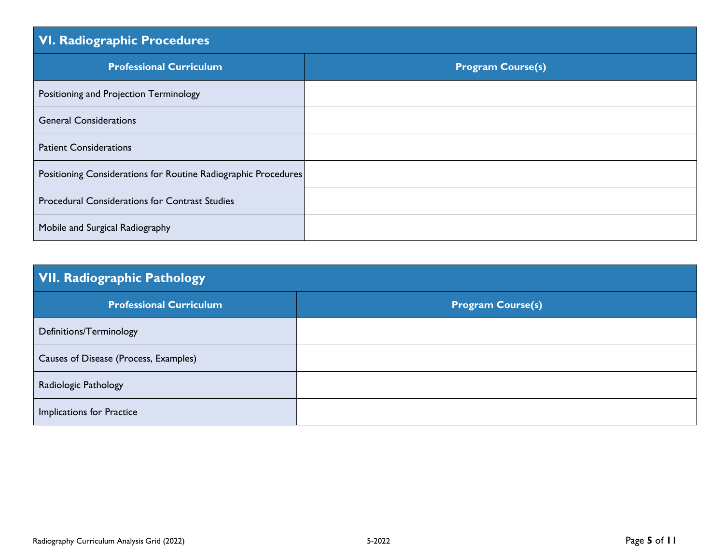| <b>VI. Radiographic Procedures</b>                             |                          |
|----------------------------------------------------------------|--------------------------|
| <b>Professional Curriculum</b>                                 | <b>Program Course(s)</b> |
| Positioning and Projection Terminology                         |                          |
| <b>General Considerations</b>                                  |                          |
| <b>Patient Considerations</b>                                  |                          |
| Positioning Considerations for Routine Radiographic Procedures |                          |
| <b>Procedural Considerations for Contrast Studies</b>          |                          |
| Mobile and Surgical Radiography                                |                          |

| <b>VII. Radiographic Pathology</b>    |                          |
|---------------------------------------|--------------------------|
| <b>Professional Curriculum</b>        | <b>Program Course(s)</b> |
| Definitions/Terminology               |                          |
| Causes of Disease (Process, Examples) |                          |
| Radiologic Pathology                  |                          |
| Implications for Practice             |                          |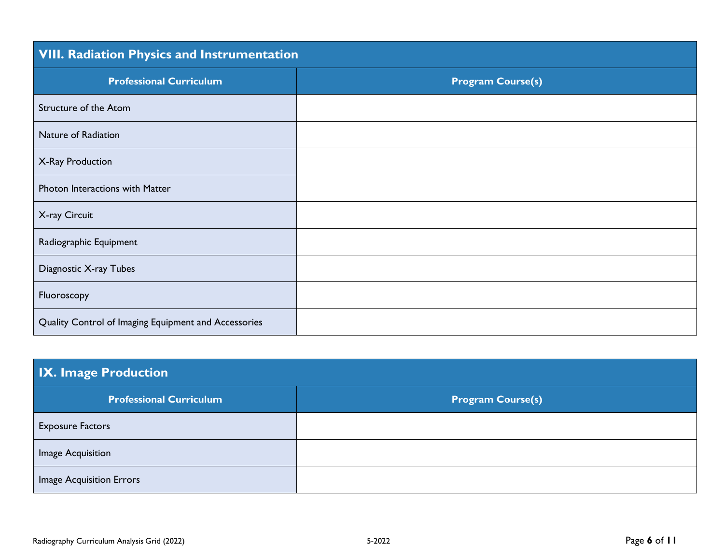| <b>VIII. Radiation Physics and Instrumentation</b>   |                          |
|------------------------------------------------------|--------------------------|
| <b>Professional Curriculum</b>                       | <b>Program Course(s)</b> |
| Structure of the Atom                                |                          |
| Nature of Radiation                                  |                          |
| X-Ray Production                                     |                          |
| Photon Interactions with Matter                      |                          |
| X-ray Circuit                                        |                          |
| Radiographic Equipment                               |                          |
| Diagnostic X-ray Tubes                               |                          |
| Fluoroscopy                                          |                          |
| Quality Control of Imaging Equipment and Accessories |                          |

| IX. Image Production            |                          |  |
|---------------------------------|--------------------------|--|
| <b>Professional Curriculum</b>  | <b>Program Course(s)</b> |  |
| <b>Exposure Factors</b>         |                          |  |
| Image Acquisition               |                          |  |
| <b>Image Acquisition Errors</b> |                          |  |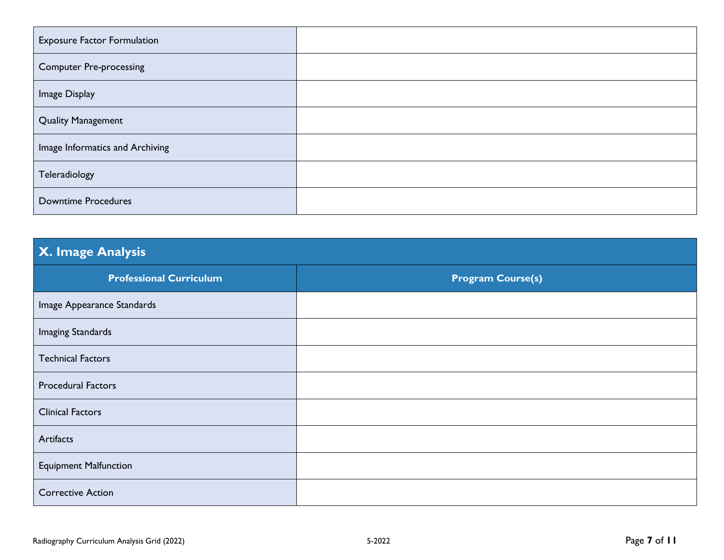| <b>Exposure Factor Formulation</b> |  |
|------------------------------------|--|
| <b>Computer Pre-processing</b>     |  |
| Image Display                      |  |
| <b>Quality Management</b>          |  |
| Image Informatics and Archiving    |  |
| Teleradiology                      |  |
| <b>Downtime Procedures</b>         |  |

# **X. Image Analysis**

| <b>Professional Curriculum</b> | <b>Program Course(s)</b> |
|--------------------------------|--------------------------|
| Image Appearance Standards     |                          |
| <b>Imaging Standards</b>       |                          |
| <b>Technical Factors</b>       |                          |
| <b>Procedural Factors</b>      |                          |
| <b>Clinical Factors</b>        |                          |
| Artifacts                      |                          |
| <b>Equipment Malfunction</b>   |                          |
| <b>Corrective Action</b>       |                          |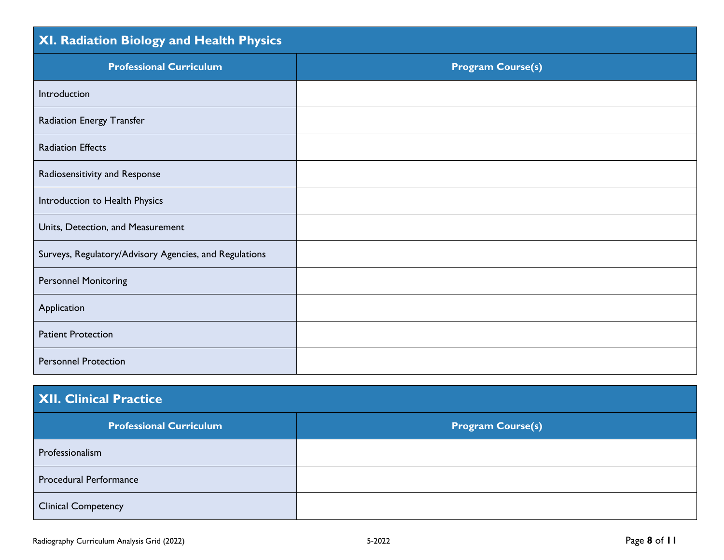# **XI. Radiation Biology and Health Physics**

| <b>Professional Curriculum</b>                         | <b>Program Course(s)</b> |
|--------------------------------------------------------|--------------------------|
| Introduction                                           |                          |
| Radiation Energy Transfer                              |                          |
| <b>Radiation Effects</b>                               |                          |
| Radiosensitivity and Response                          |                          |
| Introduction to Health Physics                         |                          |
| Units, Detection, and Measurement                      |                          |
| Surveys, Regulatory/Advisory Agencies, and Regulations |                          |
| <b>Personnel Monitoring</b>                            |                          |
| Application                                            |                          |
| <b>Patient Protection</b>                              |                          |
| <b>Personnel Protection</b>                            |                          |

# **XII. Clinical Practice**

| <b>Professional Curriculum</b> | <b>Program Course(s)</b> |
|--------------------------------|--------------------------|
| Professionalism                |                          |
| <b>Procedural Performance</b>  |                          |
| <b>Clinical Competency</b>     |                          |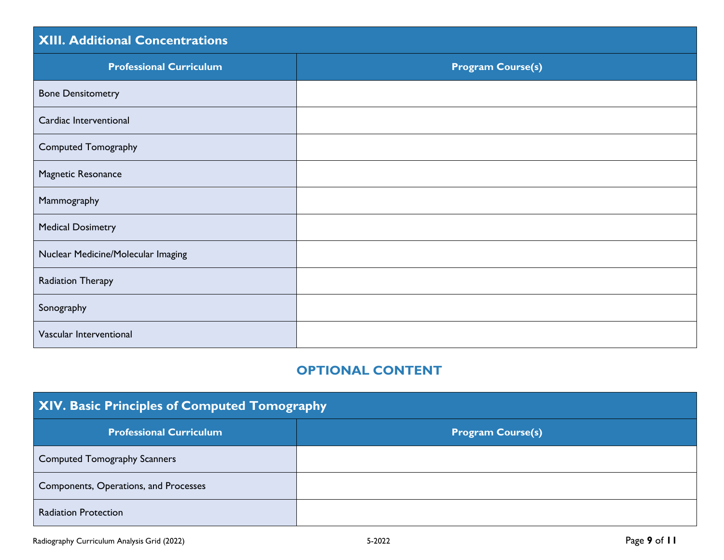# **XIII. Additional Concentrations**

| <b>Professional Curriculum</b>     | <b>Program Course(s)</b> |
|------------------------------------|--------------------------|
| <b>Bone Densitometry</b>           |                          |
| Cardiac Interventional             |                          |
| Computed Tomography                |                          |
| Magnetic Resonance                 |                          |
| Mammography                        |                          |
| <b>Medical Dosimetry</b>           |                          |
| Nuclear Medicine/Molecular Imaging |                          |
| Radiation Therapy                  |                          |
| Sonography                         |                          |
| Vascular Interventional            |                          |

#### **OPTIONAL CONTENT**

| XIV. Basic Principles of Computed Tomography |                          |
|----------------------------------------------|--------------------------|
| <b>Professional Curriculum</b>               | <b>Program Course(s)</b> |
| <b>Computed Tomography Scanners</b>          |                          |
| Components, Operations, and Processes        |                          |
| <b>Radiation Protection</b>                  |                          |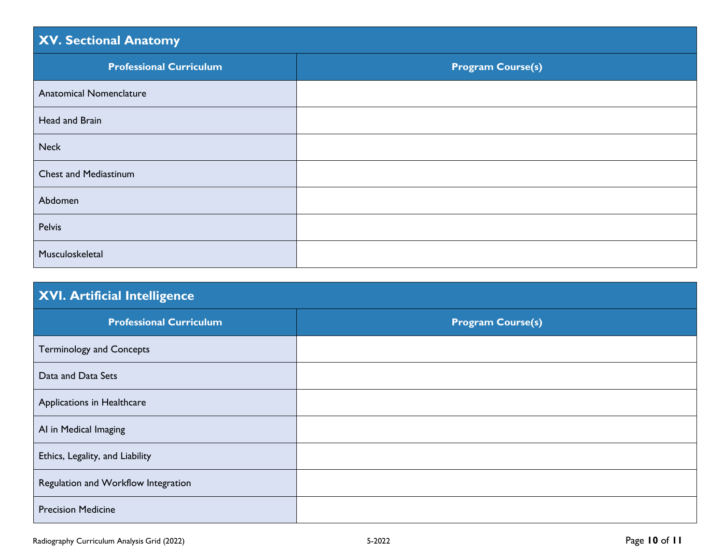## **XV. Sectional Anatomy**

| <b>Professional Curriculum</b> | <b>Program Course(s)</b> |
|--------------------------------|--------------------------|
| <b>Anatomical Nomenclature</b> |                          |
| Head and Brain                 |                          |
| <b>Neck</b>                    |                          |
| <b>Chest and Mediastinum</b>   |                          |
| Abdomen                        |                          |
| Pelvis                         |                          |
| Musculoskeletal                |                          |

# **XVI. Artificial Intelligence**

| <b>Professional Curriculum</b>      | <b>Program Course(s)</b> |
|-------------------------------------|--------------------------|
| <b>Terminology and Concepts</b>     |                          |
| Data and Data Sets                  |                          |
| Applications in Healthcare          |                          |
| Al in Medical Imaging               |                          |
| Ethics, Legality, and Liability     |                          |
| Regulation and Workflow Integration |                          |
| <b>Precision Medicine</b>           |                          |